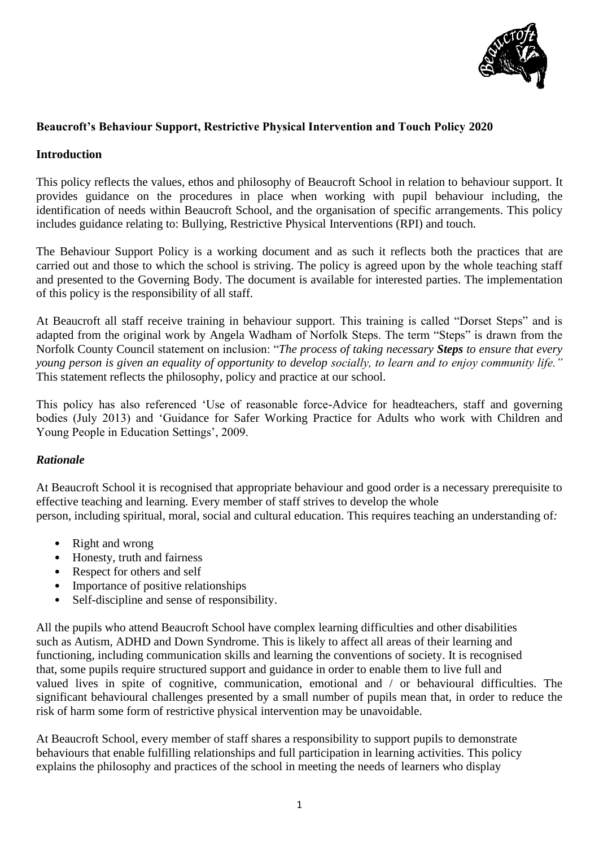

## **Beaucroft's Behaviour Support, Restrictive Physical Intervention and Touch Policy 2020**

### **Introduction**

This policy reflects the values, ethos and philosophy of Beaucroft School in relation to behaviour support. It provides guidance on the procedures in place when working with pupil behaviour including, the identification of needs within Beaucroft School, and the organisation of specific arrangements. This policy includes guidance relating to: Bullying, Restrictive Physical Interventions (RPI) and touch.

The Behaviour Support Policy is a working document and as such it reflects both the practices that are carried out and those to which the school is striving. The policy is agreed upon by the whole teaching staff and presented to the Governing Body. The document is available for interested parties. The implementation of this policy is the responsibility of all staff.

At Beaucroft all staff receive training in behaviour support. This training is called "Dorset Steps" and is adapted from the original work by Angela Wadham of Norfolk Steps. The term "Steps" is drawn from the Norfolk County Council statement on inclusion: "*The process of taking necessary Steps to ensure that every young person is given an equality of opportunity to develop socially, to learn and to enjoy community life."* This statement reflects the philosophy, policy and practice at our school.

This policy has also referenced 'Use of reasonable force-Advice for headteachers, staff and governing bodies (July 2013) and 'Guidance for Safer Working Practice for Adults who work with Children and Young People in Education Settings', 2009.

## *Rationale*

At Beaucroft School it is recognised that appropriate behaviour and good order is a necessary prerequisite to effective teaching and learning. Every member of staff strives to develop the whole person, including spiritual, moral, social and cultural education. This requires teaching an understanding of*:*

- Right and wrong
- Honesty, truth and fairness
- Respect for others and self
- Importance of positive relationships
- Self-discipline and sense of responsibility.

All the pupils who attend Beaucroft School have complex learning difficulties and other disabilities such as Autism, ADHD and Down Syndrome. This is likely to affect all areas of their learning and functioning, including communication skills and learning the conventions of society. It is recognised that, some pupils require structured support and guidance in order to enable them to live full and valued lives in spite of cognitive, communication, emotional and / or behavioural difficulties. The significant behavioural challenges presented by a small number of pupils mean that, in order to reduce the risk of harm some form of restrictive physical intervention may be unavoidable.

At Beaucroft School, every member of staff shares a responsibility to support pupils to demonstrate behaviours that enable fulfilling relationships and full participation in learning activities. This policy explains the philosophy and practices of the school in meeting the needs of learners who display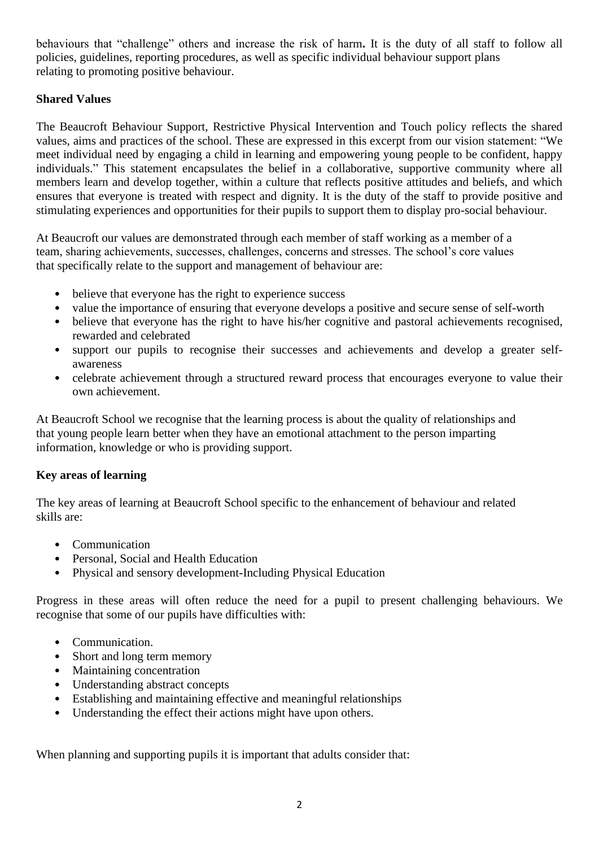behaviours that "challenge" others and increase the risk of harm**.** It is the duty of all staff to follow all policies, guidelines, reporting procedures, as well as specific individual behaviour support plans relating to promoting positive behaviour.

# **Shared Values**

The Beaucroft Behaviour Support, Restrictive Physical Intervention and Touch policy reflects the shared values, aims and practices of the school. These are expressed in this excerpt from our vision statement: "We meet individual need by engaging a child in learning and empowering young people to be confident, happy individuals." This statement encapsulates the belief in a collaborative, supportive community where all members learn and develop together, within a culture that reflects positive attitudes and beliefs, and which ensures that everyone is treated with respect and dignity. It is the duty of the staff to provide positive and stimulating experiences and opportunities for their pupils to support them to display pro-social behaviour.

At Beaucroft our values are demonstrated through each member of staff working as a member of a team, sharing achievements, successes, challenges, concerns and stresses. The school's core values that specifically relate to the support and management of behaviour are:

- believe that everyone has the right to experience success
- value the importance of ensuring that everyone develops a positive and secure sense of self-worth
- believe that everyone has the right to have his/her cognitive and pastoral achievements recognised, rewarded and celebrated
- support our pupils to recognise their successes and achievements and develop a greater selfawareness
- celebrate achievement through a structured reward process that encourages everyone to value their own achievement.

At Beaucroft School we recognise that the learning process is about the quality of relationships and that young people learn better when they have an emotional attachment to the person imparting information, knowledge or who is providing support.

## **Key areas of learning**

The key areas of learning at Beaucroft School specific to the enhancement of behaviour and related skills are:

- Communication
- Personal, Social and Health Education
- Physical and sensory development-Including Physical Education

Progress in these areas will often reduce the need for a pupil to present challenging behaviours. We recognise that some of our pupils have difficulties with:

- Communication.
- Short and long term memory
- Maintaining concentration
- Understanding abstract concepts
- Establishing and maintaining effective and meaningful relationships
- Understanding the effect their actions might have upon others.

When planning and supporting pupils it is important that adults consider that: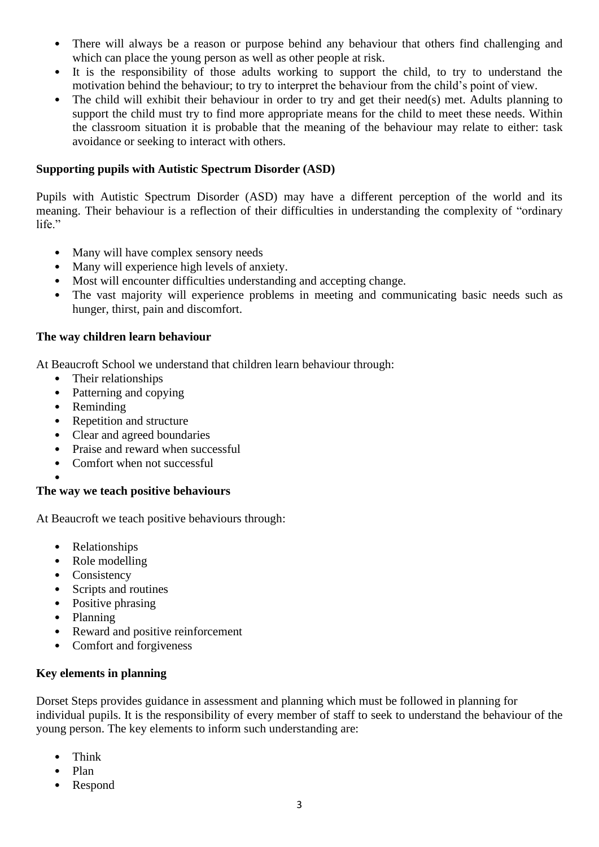- There will always be a reason or purpose behind any behaviour that others find challenging and which can place the young person as well as other people at risk.
- It is the responsibility of those adults working to support the child, to try to understand the motivation behind the behaviour; to try to interpret the behaviour from the child's point of view.
- The child will exhibit their behaviour in order to try and get their need(s) met. Adults planning to support the child must try to find more appropriate means for the child to meet these needs. Within the classroom situation it is probable that the meaning of the behaviour may relate to either: task avoidance or seeking to interact with others.

### **Supporting pupils with Autistic Spectrum Disorder (ASD)**

Pupils with Autistic Spectrum Disorder (ASD) may have a different perception of the world and its meaning. Their behaviour is a reflection of their difficulties in understanding the complexity of "ordinary life."

- Many will have complex sensory needs
- Many will experience high levels of anxiety.
- Most will encounter difficulties understanding and accepting change.
- The vast majority will experience problems in meeting and communicating basic needs such as hunger, thirst, pain and discomfort.

#### **The way children learn behaviour**

At Beaucroft School we understand that children learn behaviour through:

- Their relationships
- Patterning and copying
- Reminding
- Repetition and structure
- Clear and agreed boundaries
- Praise and reward when successful
- Comfort when not successful

#### • **The way we teach positive behaviours**

At Beaucroft we teach positive behaviours through:

- Relationships
- Role modelling
- Consistency
- Scripts and routines
- Positive phrasing
- Planning
- Reward and positive reinforcement
- Comfort and forgiveness

### **Key elements in planning**

Dorset Steps provides guidance in assessment and planning which must be followed in planning for individual pupils. It is the responsibility of every member of staff to seek to understand the behaviour of the young person. The key elements to inform such understanding are:

- Think
- Plan
- Respond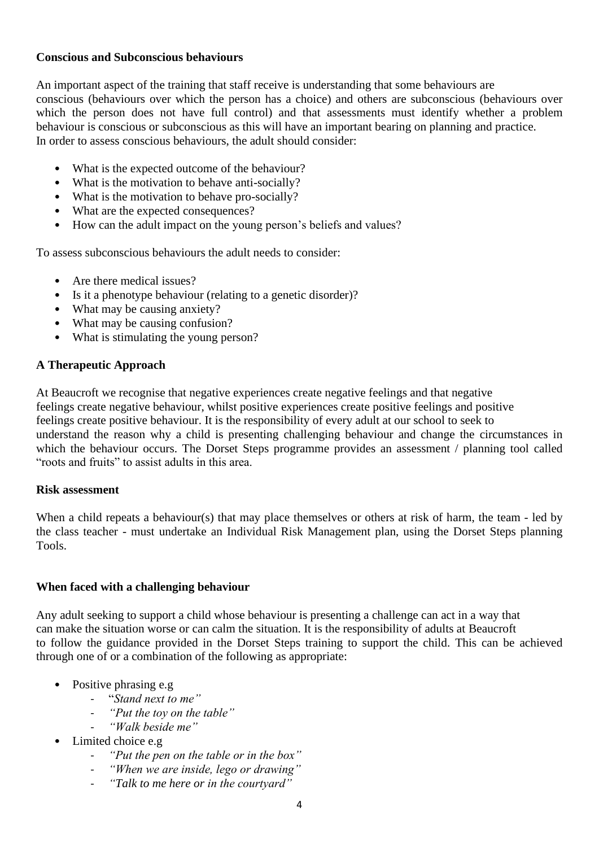#### **Conscious and Subconscious behaviours**

An important aspect of the training that staff receive is understanding that some behaviours are conscious (behaviours over which the person has a choice) and others are subconscious (behaviours over which the person does not have full control) and that assessments must identify whether a problem behaviour is conscious or subconscious as this will have an important bearing on planning and practice. In order to assess conscious behaviours, the adult should consider:

- What is the expected outcome of the behaviour?
- What is the motivation to behave anti-socially?
- What is the motivation to behave pro-socially?
- What are the expected consequences?
- How can the adult impact on the young person's beliefs and values?

To assess subconscious behaviours the adult needs to consider:

- Are there medical issues?
- Is it a phenotype behaviour (relating to a genetic disorder)?
- What may be causing anxiety?
- What may be causing confusion?
- What is stimulating the young person?

### **A Therapeutic Approach**

At Beaucroft we recognise that negative experiences create negative feelings and that negative feelings create negative behaviour, whilst positive experiences create positive feelings and positive feelings create positive behaviour. It is the responsibility of every adult at our school to seek to understand the reason why a child is presenting challenging behaviour and change the circumstances in which the behaviour occurs. The Dorset Steps programme provides an assessment / planning tool called "roots and fruits" to assist adults in this area.

#### **Risk assessment**

When a child repeats a behaviour(s) that may place themselves or others at risk of harm, the team - led by the class teacher - must undertake an Individual Risk Management plan, using the Dorset Steps planning Tools.

#### **When faced with a challenging behaviour**

Any adult seeking to support a child whose behaviour is presenting a challenge can act in a way that can make the situation worse or can calm the situation. It is the responsibility of adults at Beaucroft to follow the guidance provided in the Dorset Steps training to support the child. This can be achieved through one of or a combination of the following as appropriate:

- Positive phrasing e.g
	- "*Stand next to me"*
	- *"Put the toy on the table"*
	- *"Walk beside me"*
- Limited choice e.g
	- *"Put the pen on the table or in the box"*
	- *"When we are inside, lego or drawing"*
	- *"Talk to me here or in the courtyard"*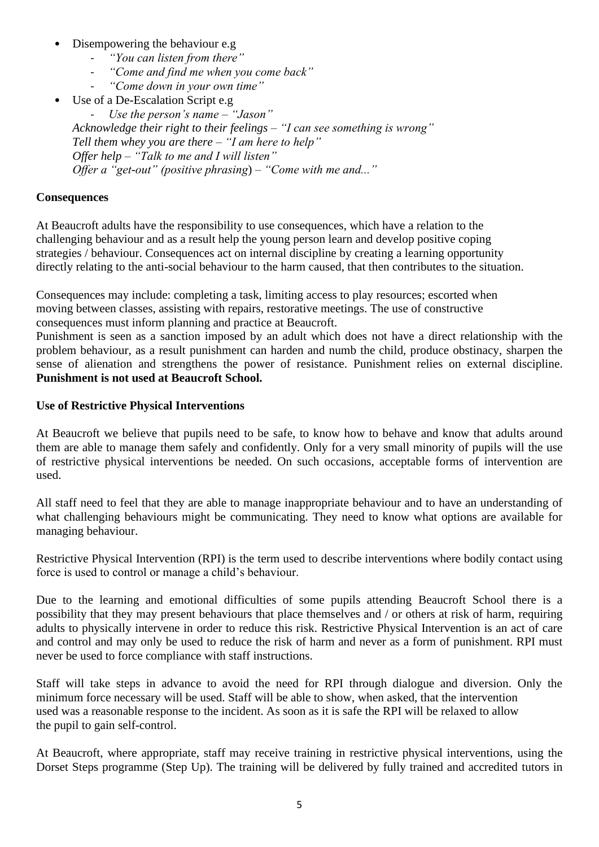- Disempowering the behaviour e.g
	- *"You can listen from there"*
	- *"Come and find me when you come back"*
	- *"Come down in your own time"*
- Use of a De-Escalation Script e.g.

- *Use the person's name – "Jason" Acknowledge their right to their feelings – "I can see something is wrong" Tell them whey you are there – "I am here to help" Offer help – "Talk to me and I will listen" Offer a "get-out" (positive phrasing*) *– "Come with me and..."*

### **Consequences**

At Beaucroft adults have the responsibility to use consequences, which have a relation to the challenging behaviour and as a result help the young person learn and develop positive coping strategies / behaviour. Consequences act on internal discipline by creating a learning opportunity directly relating to the anti-social behaviour to the harm caused, that then contributes to the situation.

Consequences may include: completing a task, limiting access to play resources; escorted when moving between classes, assisting with repairs, restorative meetings. The use of constructive consequences must inform planning and practice at Beaucroft.

Punishment is seen as a sanction imposed by an adult which does not have a direct relationship with the problem behaviour, as a result punishment can harden and numb the child, produce obstinacy, sharpen the sense of alienation and strengthens the power of resistance. Punishment relies on external discipline. **Punishment is not used at Beaucroft School.**

### **Use of Restrictive Physical Interventions**

At Beaucroft we believe that pupils need to be safe, to know how to behave and know that adults around them are able to manage them safely and confidently. Only for a very small minority of pupils will the use of restrictive physical interventions be needed. On such occasions, acceptable forms of intervention are used.

All staff need to feel that they are able to manage inappropriate behaviour and to have an understanding of what challenging behaviours might be communicating. They need to know what options are available for managing behaviour.

Restrictive Physical Intervention (RPI) is the term used to describe interventions where bodily contact using force is used to control or manage a child's behaviour.

Due to the learning and emotional difficulties of some pupils attending Beaucroft School there is a possibility that they may present behaviours that place themselves and / or others at risk of harm, requiring adults to physically intervene in order to reduce this risk. Restrictive Physical Intervention is an act of care and control and may only be used to reduce the risk of harm and never as a form of punishment. RPI must never be used to force compliance with staff instructions.

Staff will take steps in advance to avoid the need for RPI through dialogue and diversion. Only the minimum force necessary will be used. Staff will be able to show, when asked, that the intervention used was a reasonable response to the incident. As soon as it is safe the RPI will be relaxed to allow the pupil to gain self-control.

At Beaucroft, where appropriate, staff may receive training in restrictive physical interventions, using the Dorset Steps programme (Step Up). The training will be delivered by fully trained and accredited tutors in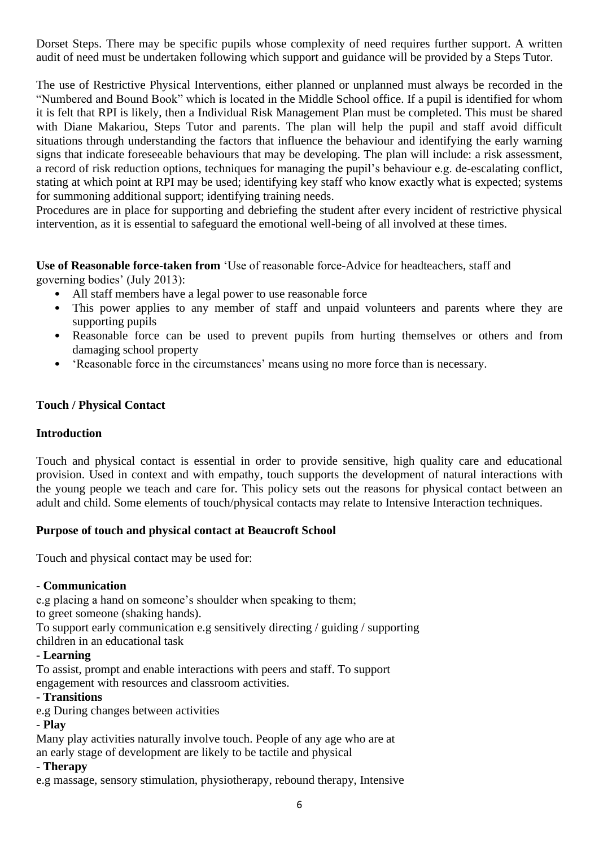Dorset Steps. There may be specific pupils whose complexity of need requires further support. A written audit of need must be undertaken following which support and guidance will be provided by a Steps Tutor.

The use of Restrictive Physical Interventions, either planned or unplanned must always be recorded in the "Numbered and Bound Book" which is located in the Middle School office. If a pupil is identified for whom it is felt that RPI is likely, then a Individual Risk Management Plan must be completed. This must be shared with Diane Makariou, Steps Tutor and parents. The plan will help the pupil and staff avoid difficult situations through understanding the factors that influence the behaviour and identifying the early warning signs that indicate foreseeable behaviours that may be developing. The plan will include: a risk assessment, a record of risk reduction options, techniques for managing the pupil's behaviour e.g. de-escalating conflict, stating at which point at RPI may be used; identifying key staff who know exactly what is expected; systems for summoning additional support; identifying training needs.

Procedures are in place for supporting and debriefing the student after every incident of restrictive physical intervention, as it is essential to safeguard the emotional well-being of all involved at these times.

**Use of Reasonable force-taken from** 'Use of reasonable force-Advice for headteachers, staff and governing bodies' (July 2013):

- All staff members have a legal power to use reasonable force
- This power applies to any member of staff and unpaid volunteers and parents where they are supporting pupils
- Reasonable force can be used to prevent pupils from hurting themselves or others and from damaging school property
- 'Reasonable force in the circumstances' means using no more force than is necessary.

### **Touch / Physical Contact**

#### **Introduction**

Touch and physical contact is essential in order to provide sensitive, high quality care and educational provision. Used in context and with empathy, touch supports the development of natural interactions with the young people we teach and care for. This policy sets out the reasons for physical contact between an adult and child. Some elements of touch/physical contacts may relate to Intensive Interaction techniques.

#### **Purpose of touch and physical contact at Beaucroft School**

Touch and physical contact may be used for:

#### - **Communication**

e.g placing a hand on someone's shoulder when speaking to them;

to greet someone (shaking hands).

To support early communication e.g sensitively directing / guiding / supporting

children in an educational task

#### - **Learning**

To assist, prompt and enable interactions with peers and staff. To support engagement with resources and classroom activities.

#### - **Transitions**

e.g During changes between activities

## - **Play**

Many play activities naturally involve touch. People of any age who are at an early stage of development are likely to be tactile and physical

#### - **Therapy**

e.g massage, sensory stimulation, physiotherapy, rebound therapy, Intensive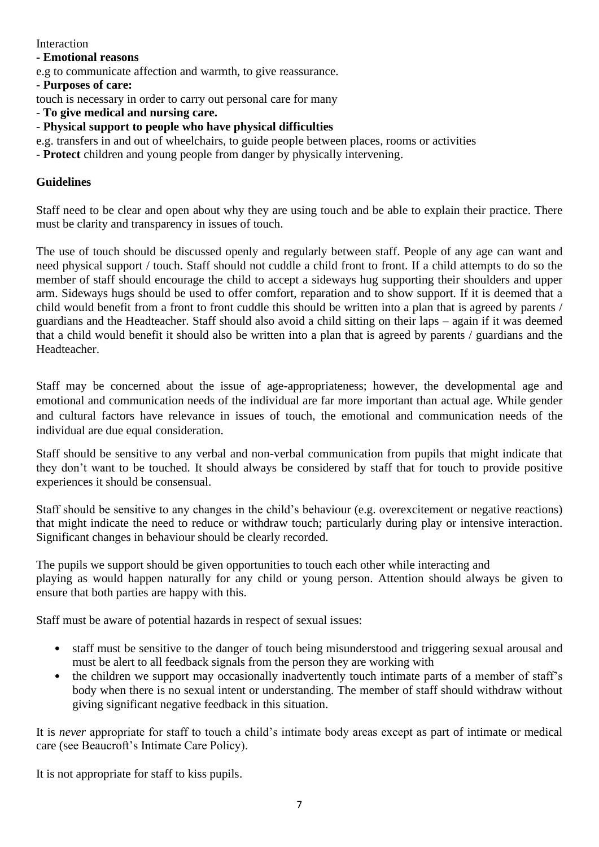### **Interaction**

### **- Emotional reasons**

e.g to communicate affection and warmth, to give reassurance.

#### - **Purposes of care:**

touch is necessary in order to carry out personal care for many

- **To give medical and nursing care.**

- **Physical support to people who have physical difficulties**

- e.g. transfers in and out of wheelchairs, to guide people between places, rooms or activities
- **Protect** children and young people from danger by physically intervening.

## **Guidelines**

Staff need to be clear and open about why they are using touch and be able to explain their practice. There must be clarity and transparency in issues of touch.

The use of touch should be discussed openly and regularly between staff. People of any age can want and need physical support / touch. Staff should not cuddle a child front to front. If a child attempts to do so the member of staff should encourage the child to accept a sideways hug supporting their shoulders and upper arm. Sideways hugs should be used to offer comfort, reparation and to show support. If it is deemed that a child would benefit from a front to front cuddle this should be written into a plan that is agreed by parents / guardians and the Headteacher. Staff should also avoid a child sitting on their laps – again if it was deemed that a child would benefit it should also be written into a plan that is agreed by parents / guardians and the Headteacher.

Staff may be concerned about the issue of age-appropriateness; however, the developmental age and emotional and communication needs of the individual are far more important than actual age. While gender and cultural factors have relevance in issues of touch, the emotional and communication needs of the individual are due equal consideration.

Staff should be sensitive to any verbal and non-verbal communication from pupils that might indicate that they don't want to be touched. It should always be considered by staff that for touch to provide positive experiences it should be consensual.

Staff should be sensitive to any changes in the child's behaviour (e.g. overexcitement or negative reactions) that might indicate the need to reduce or withdraw touch; particularly during play or intensive interaction. Significant changes in behaviour should be clearly recorded.

The pupils we support should be given opportunities to touch each other while interacting and playing as would happen naturally for any child or young person. Attention should always be given to ensure that both parties are happy with this.

Staff must be aware of potential hazards in respect of sexual issues:

- staff must be sensitive to the danger of touch being misunderstood and triggering sexual arousal and must be alert to all feedback signals from the person they are working with
- the children we support may occasionally inadvertently touch intimate parts of a member of staff's body when there is no sexual intent or understanding. The member of staff should withdraw without giving significant negative feedback in this situation.

It is *never* appropriate for staff to touch a child's intimate body areas except as part of intimate or medical care (see Beaucroft's Intimate Care Policy).

It is not appropriate for staff to kiss pupils.